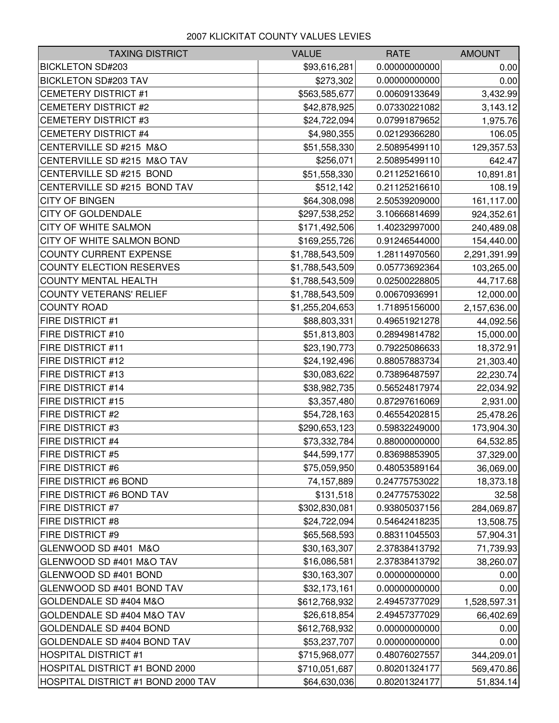## 2007 KLICKITAT COUNTY VALUES LEVIES

| <b>TAXING DISTRICT</b>             | <b>VALUE</b>    | <b>RATE</b>   | <b>AMOUNT</b> |
|------------------------------------|-----------------|---------------|---------------|
| <b>BICKLETON SD#203</b>            | \$93,616,281    | 0.00000000000 | 0.00          |
| <b>BICKLETON SD#203 TAV</b>        | \$273,302       | 0.00000000000 | 0.00          |
| <b>CEMETERY DISTRICT #1</b>        | \$563,585,677   | 0.00609133649 | 3,432.99      |
| <b>CEMETERY DISTRICT #2</b>        | \$42,878,925    | 0.07330221082 | 3,143.12      |
| <b>CEMETERY DISTRICT #3</b>        | \$24,722,094    | 0.07991879652 | 1,975.76      |
| <b>CEMETERY DISTRICT #4</b>        | \$4,980,355     | 0.02129366280 | 106.05        |
| CENTERVILLE SD #215 M&O            | \$51,558,330    | 2.50895499110 | 129,357.53    |
| CENTERVILLE SD #215 M&O TAV        | \$256,071       | 2.50895499110 | 642.47        |
| CENTERVILLE SD #215 BOND           | \$51,558,330    | 0.21125216610 | 10,891.81     |
| CENTERVILLE SD #215 BOND TAV       | \$512,142       | 0.21125216610 | 108.19        |
| <b>CITY OF BINGEN</b>              | \$64,308,098    | 2.50539209000 | 161,117.00    |
| <b>CITY OF GOLDENDALE</b>          | \$297,538,252   | 3.10666814699 | 924,352.61    |
| <b>CITY OF WHITE SALMON</b>        | \$171,492,506   | 1.40232997000 | 240,489.08    |
| CITY OF WHITE SALMON BOND          | \$169,255,726   | 0.91246544000 | 154,440.00    |
| <b>COUNTY CURRENT EXPENSE</b>      | \$1,788,543,509 | 1.28114970560 | 2,291,391.99  |
| COUNTY ELECTION RESERVES           | \$1,788,543,509 | 0.05773692364 | 103,265.00    |
| <b>COUNTY MENTAL HEALTH</b>        | \$1,788,543,509 | 0.02500228805 | 44,717.68     |
| <b>COUNTY VETERANS' RELIEF</b>     | \$1,788,543,509 | 0.00670936991 | 12,000.00     |
| <b>COUNTY ROAD</b>                 | \$1,255,204,653 | 1.71895156000 | 2,157,636.00  |
| FIRE DISTRICT #1                   | \$88,803,331    | 0.49651921278 | 44,092.56     |
| <b>FIRE DISTRICT #10</b>           | \$51,813,803    | 0.28949814782 | 15,000.00     |
| <b>FIRE DISTRICT #11</b>           | \$23,190,773    | 0.79225086633 | 18,372.91     |
| <b>FIRE DISTRICT #12</b>           | \$24,192,496    | 0.88057883734 | 21,303.40     |
| <b>FIRE DISTRICT #13</b>           | \$30,083,622    | 0.73896487597 | 22,230.74     |
| <b>FIRE DISTRICT #14</b>           | \$38,982,735    | 0.56524817974 | 22,034.92     |
| <b>FIRE DISTRICT #15</b>           | \$3,357,480     | 0.87297616069 | 2,931.00      |
| <b>FIRE DISTRICT #2</b>            | \$54,728,163    | 0.46554202815 | 25,478.26     |
| <b>FIRE DISTRICT #3</b>            | \$290,653,123   | 0.59832249000 | 173,904.30    |
| <b>FIRE DISTRICT #4</b>            | \$73,332,784    | 0.88000000000 | 64,532.85     |
| <b>FIRE DISTRICT #5</b>            | \$44,599,177    | 0.83698853905 | 37,329.00     |
| <b>FIRE DISTRICT #6</b>            | \$75,059,950    | 0.48053589164 | 36,069.00     |
| <b>FIRE DISTRICT #6 BOND</b>       | 74,157,889      | 0.24775753022 | 18,373.18     |
| <b>FIRE DISTRICT #6 BOND TAV</b>   | \$131,518       | 0.24775753022 | 32.58         |
| <b>FIRE DISTRICT #7</b>            | \$302,830,081   | 0.93805037156 | 284,069.87    |
| <b>FIRE DISTRICT #8</b>            | \$24,722,094    | 0.54642418235 | 13,508.75     |
| <b>FIRE DISTRICT #9</b>            | \$65,568,593    | 0.88311045503 | 57,904.31     |
| GLENWOOD SD #401 M&O               | \$30,163,307    | 2.37838413792 | 71,739.93     |
| GLENWOOD SD #401 M&O TAV           | \$16,086,581    | 2.37838413792 | 38,260.07     |
| GLENWOOD SD #401 BOND              | \$30,163,307    | 0.00000000000 | 0.00          |
| GLENWOOD SD #401 BOND TAV          | \$32,173,161    | 0.00000000000 | 0.00          |
| GOLDENDALE SD #404 M&O             | \$612,768,932   | 2.49457377029 | 1,528,597.31  |
| GOLDENDALE SD #404 M&O TAV         | \$26,618,854    | 2.49457377029 | 66,402.69     |
| <b>GOLDENDALE SD #404 BOND</b>     | \$612,768,932   | 0.00000000000 | 0.00          |
| <b>GOLDENDALE SD #404 BOND TAV</b> | \$53,237,707    | 0.00000000000 | 0.00          |
| <b>HOSPITAL DISTRICT #1</b>        | \$715,968,077   | 0.48076027557 | 344,209.01    |
| HOSPITAL DISTRICT #1 BOND 2000     | \$710,051,687   | 0.80201324177 | 569,470.86    |
| HOSPITAL DISTRICT #1 BOND 2000 TAV | \$64,630,036    | 0.80201324177 | 51,834.14     |